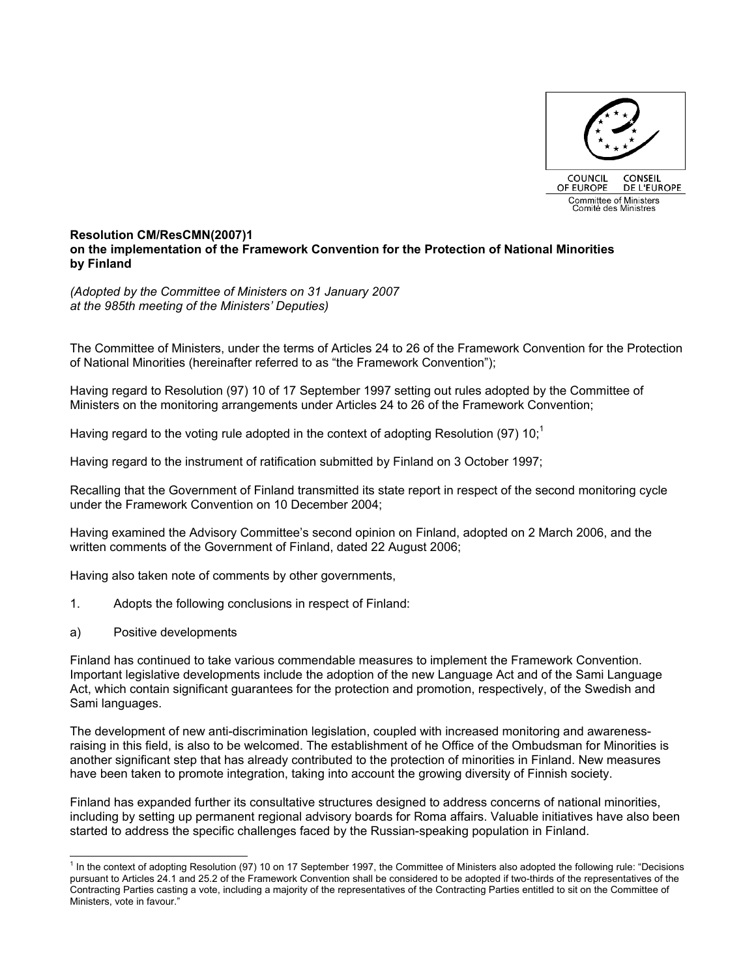

## **Resolution CM/ResCMN(2007)1 on the implementation of the Framework Convention for the Protection of National Minorities by Finland**

*(Adopted by the Committee of Ministers on 31 January 2007 at the 985th meeting of the Ministers' Deputies)* 

The Committee of Ministers, under the terms of Articles 24 to 26 of the Framework Convention for the Protection of National Minorities (hereinafter referred to as "the Framework Convention");

Having regard to Resolution (97) 10 of 17 September 1997 setting out rules adopted by the Committee of Ministers on the monitoring arrangements under Articles 24 to 26 of the Framework Convention;

Having regard to the voting rule adopted in the context of adopting Resolution (97)  $10<sup>1</sup>$ 

Having regard to the instrument of ratification submitted by Finland on 3 October 1997;

Recalling that the Government of Finland transmitted its state report in respect of the second monitoring cycle under the Framework Convention on 10 December 2004;

Having examined the Advisory Committee's second opinion on Finland, adopted on 2 March 2006, and the written comments of the Government of Finland, dated 22 August 2006;

Having also taken note of comments by other governments,

- 1. Adopts the following conclusions in respect of Finland:
- a) Positive developments

l

Finland has continued to take various commendable measures to implement the Framework Convention. Important legislative developments include the adoption of the new Language Act and of the Sami Language Act, which contain significant guarantees for the protection and promotion, respectively, of the Swedish and Sami languages.

The development of new anti-discrimination legislation, coupled with increased monitoring and awarenessraising in this field, is also to be welcomed. The establishment of he Office of the Ombudsman for Minorities is another significant step that has already contributed to the protection of minorities in Finland. New measures have been taken to promote integration, taking into account the growing diversity of Finnish society.

Finland has expanded further its consultative structures designed to address concerns of national minorities, including by setting up permanent regional advisory boards for Roma affairs. Valuable initiatives have also been started to address the specific challenges faced by the Russian-speaking population in Finland.

<sup>&</sup>lt;sup>1</sup> In the context of adopting Resolution (97) 10 on 17 September 1997, the Committee of Ministers also adopted the following rule: "Decisions pursuant to Articles 24.1 and 25.2 of the Framework Convention shall be considered to be adopted if two-thirds of the representatives of the Contracting Parties casting a vote, including a majority of the representatives of the Contracting Parties entitled to sit on the Committee of Ministers, vote in favour."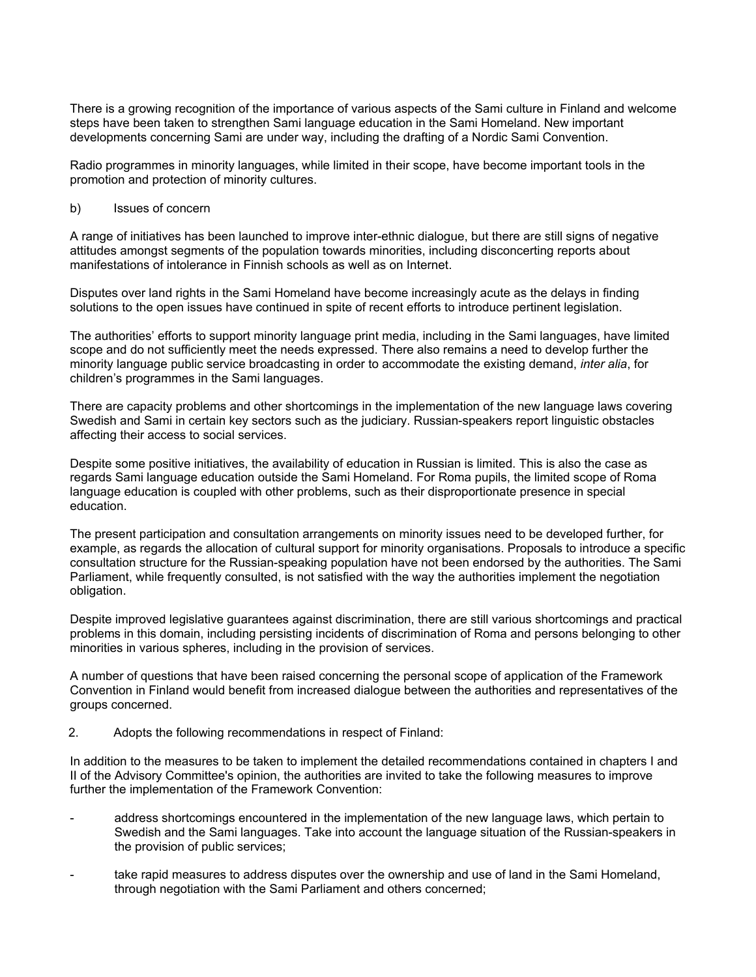There is a growing recognition of the importance of various aspects of the Sami culture in Finland and welcome steps have been taken to strengthen Sami language education in the Sami Homeland. New important developments concerning Sami are under way, including the drafting of a Nordic Sami Convention.

Radio programmes in minority languages, while limited in their scope, have become important tools in the promotion and protection of minority cultures.

## b) Issues of concern

A range of initiatives has been launched to improve inter-ethnic dialogue, but there are still signs of negative attitudes amongst segments of the population towards minorities, including disconcerting reports about manifestations of intolerance in Finnish schools as well as on Internet.

Disputes over land rights in the Sami Homeland have become increasingly acute as the delays in finding solutions to the open issues have continued in spite of recent efforts to introduce pertinent legislation.

The authorities' efforts to support minority language print media, including in the Sami languages, have limited scope and do not sufficiently meet the needs expressed. There also remains a need to develop further the minority language public service broadcasting in order to accommodate the existing demand, *inter alia*, for children's programmes in the Sami languages.

There are capacity problems and other shortcomings in the implementation of the new language laws covering Swedish and Sami in certain key sectors such as the judiciary. Russian-speakers report linguistic obstacles affecting their access to social services.

Despite some positive initiatives, the availability of education in Russian is limited. This is also the case as regards Sami language education outside the Sami Homeland. For Roma pupils, the limited scope of Roma language education is coupled with other problems, such as their disproportionate presence in special education.

The present participation and consultation arrangements on minority issues need to be developed further, for example, as regards the allocation of cultural support for minority organisations. Proposals to introduce a specific consultation structure for the Russian-speaking population have not been endorsed by the authorities. The Sami Parliament, while frequently consulted, is not satisfied with the way the authorities implement the negotiation obligation.

Despite improved legislative guarantees against discrimination, there are still various shortcomings and practical problems in this domain, including persisting incidents of discrimination of Roma and persons belonging to other minorities in various spheres, including in the provision of services.

A number of questions that have been raised concerning the personal scope of application of the Framework Convention in Finland would benefit from increased dialogue between the authorities and representatives of the groups concerned.

2. Adopts the following recommendations in respect of Finland:

In addition to the measures to be taken to implement the detailed recommendations contained in chapters I and II of the Advisory Committee's opinion, the authorities are invited to take the following measures to improve further the implementation of the Framework Convention:

- address shortcomings encountered in the implementation of the new language laws, which pertain to Swedish and the Sami languages. Take into account the language situation of the Russian-speakers in the provision of public services;
- take rapid measures to address disputes over the ownership and use of land in the Sami Homeland, through negotiation with the Sami Parliament and others concerned;